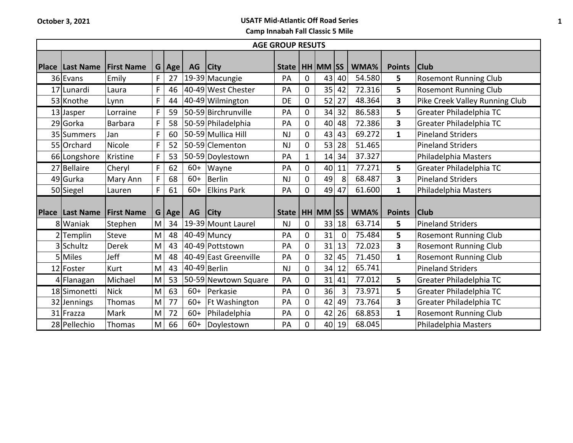| <b>AGE GROUP RESUTS</b> |                          |                   |   |         |       |                       |                      |              |    |                |        |                         |                                |
|-------------------------|--------------------------|-------------------|---|---------|-------|-----------------------|----------------------|--------------|----|----------------|--------|-------------------------|--------------------------------|
|                         | <b>Place   Last Name</b> | <b>First Name</b> |   | G   Age | AG    | <b>City</b>           | State   HH MM SS     |              |    |                | WMA%   | <b>Points</b>           | <b>Club</b>                    |
|                         | 36 Evans                 | Emily             | F | 27      |       | 19-39 Macungie        | PA                   | 0            | 43 | 40             | 54.580 | 5                       | <b>Rosemont Running Club</b>   |
|                         | 17 Lunardi               | Laura             | F | 46      |       | 40-49 West Chester    | PA                   | 0            | 35 | 42             | 72.316 | 5                       | <b>Rosemont Running Club</b>   |
|                         | 53 Knothe                | Lynn              | F | 44      |       | 40-49 Wilmington      | DE                   | 0            | 52 | 27             | 48.364 | $\overline{\mathbf{3}}$ | Pike Creek Valley Running Club |
|                         | 13 Jasper                | Lorraine          | F | 59      |       | 50-59 Birchrunville   | PA                   | 0            | 34 | 32             | 86.583 | 5                       | Greater Philadelphia TC        |
|                         | 29 Gorka                 | Barbara           | F | 58      |       | 50-59 Philadelphia    | PA                   | 0            | 40 | 48             | 72.386 | $\overline{\mathbf{3}}$ | Greater Philadelphia TC        |
|                         | 35 Summers               | Jan               | F | 60      |       | 50-59 Mullica Hill    | <b>NJ</b>            | 0            | 43 | 43             | 69.272 | $\mathbf{1}$            | <b>Pineland Striders</b>       |
|                         | 55 Orchard               | Nicole            | F | 52      |       | 50-59 Clementon       | <b>NJ</b>            | 0            | 53 | 28             | 51.465 |                         | <b>Pineland Striders</b>       |
|                         | 66 Longshore             | Kristine          | F | 53      |       | 50-59 Doylestown      | PA                   | $\mathbf{1}$ | 14 | 34             | 37.327 |                         | Philadelphia Masters           |
|                         | 27 Bellaire              | Cheryl            | F | 62      | $60+$ | Wayne                 | PA                   | 0            | 40 | 11             | 77.271 | 5                       | Greater Philadelphia TC        |
|                         | 49 Gurka                 | Mary Ann          | F | 68      | $60+$ | Berlin                | NJ                   | 0            | 49 | 8              | 68.487 | $\overline{\mathbf{3}}$ | <b>Pineland Striders</b>       |
|                         | 50 Siegel                | Lauren            | F | 61      | $60+$ | <b>Elkins Park</b>    | PA                   | 0            | 49 | 47             | 61.600 | $\mathbf{1}$            | Philadelphia Masters           |
|                         | <b>Place Last Name</b>   | <b>First Name</b> |   | G   Age | AG    | <b>City</b>           | State   HH   MM   SS |              |    |                | WMA%   | <b>Points</b>           | <b>Club</b>                    |
|                         | 8 Waniak                 | Stephen           | M | 34      |       | 19-39 Mount Laurel    | <b>NJ</b>            | 0            | 33 | 18             | 63.714 | 5                       | <b>Pineland Striders</b>       |
|                         | $2$ Templin              | Steve             | M | 48      |       | $40-49$ Muncy         | PA                   | 0            | 31 | 0              | 75.484 | 5                       | <b>Rosemont Running Club</b>   |
|                         | 3 Schultz                | <b>Derek</b>      | M | 43      |       | 40-49 Pottstown       | PA                   | 0            | 31 | 13             | 72.023 | $\overline{\mathbf{3}}$ | <b>Rosemont Running Club</b>   |
|                         | 5 Miles                  | Jeff              | M | 48      |       | 40-49 East Greenville | PA                   | 0            | 32 | 45             | 71.450 | $\mathbf{1}$            | <b>Rosemont Running Club</b>   |
|                         | 12 Foster                | Kurt              | M | 43      |       | $40-49$ Berlin        | <b>NJ</b>            | 0            | 34 | 12             | 65.741 |                         | <b>Pineland Striders</b>       |
|                         | $4$ Flanagan             | Michael           | M | 53      |       | 50-59 Newtown Square  | PA                   | 0            | 31 | 41             | 77.012 | $5\phantom{.0}$         | Greater Philadelphia TC        |
|                         | 18 Simonetti             | <b>Nick</b>       | M | 63      | $60+$ | Perkasie              | PA                   | 0            | 36 | $\overline{3}$ | 73.971 | 5                       | Greater Philadelphia TC        |
|                         | 32 Jennings              | Thomas            | M | 77      | $60+$ | Ft Washington         | PA                   | 0            | 42 | 49             | 73.764 | 3                       | Greater Philadelphia TC        |
|                         | 31 Frazza                | Mark              | M | 72      | $60+$ | Philadelphia          | PA                   | 0            | 42 | 26             | 68.853 | $\mathbf{1}$            | <b>Rosemont Running Club</b>   |
|                         | 28 Pellechio             | Thomas            | M | 66      | $60+$ | Doylestown            | PA                   | 0            | 40 | 19             | 68.045 |                         | Philadelphia Masters           |